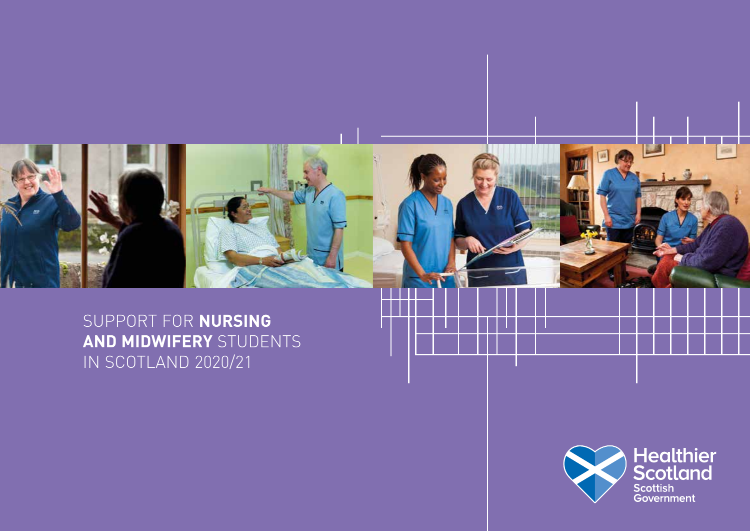

SUPPORT FOR **NURSING AND MIDWIFERY** STUDENTS IN SCOTLAND 2020/21

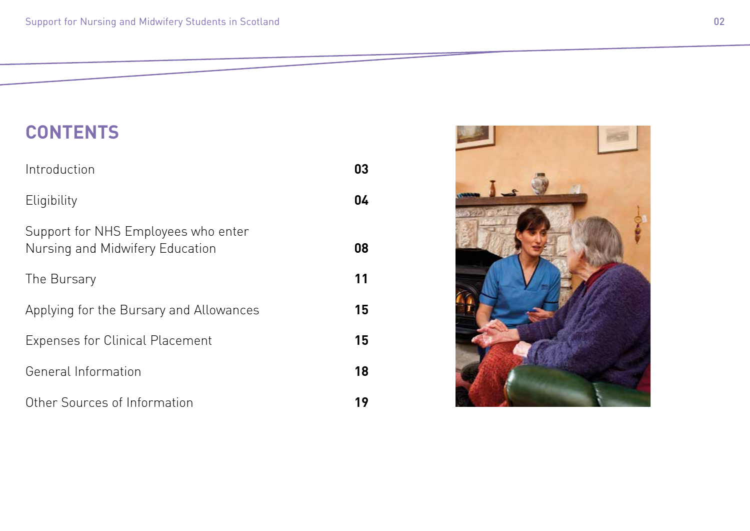### **CONTENTS**

| Introduction                                                           | 03 |
|------------------------------------------------------------------------|----|
| Eligibility                                                            | 04 |
| Support for NHS Employees who enter<br>Nursing and Midwifery Education | 08 |
| The Bursary                                                            | 11 |
| Applying for the Bursary and Allowances                                | 15 |
| <b>Expenses for Clinical Placement</b>                                 | 15 |
| General Information                                                    | 18 |
| Other Sources of Information                                           | 19 |

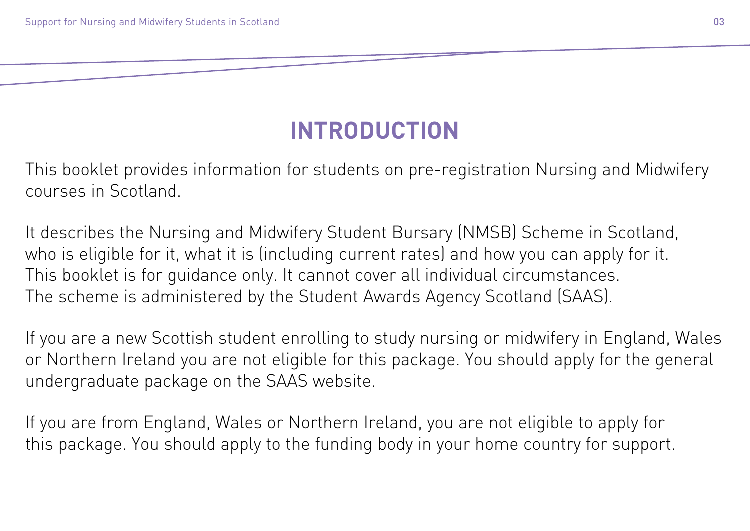# **INTRODUCTION**

This booklet provides information for students on pre-registration Nursing and Midwifery courses in Scotland.

It describes the Nursing and Midwifery Student Bursary (NMSB) Scheme in Scotland, who is eligible for it, what it is (including current rates) and how you can apply for it. This booklet is for guidance only. It cannot cover all individual circumstances. The scheme is administered by the Student Awards Agency Scotland (SAAS).

If you are a new Scottish student enrolling to study nursing or midwifery in England, Wales or Northern Ireland you are not eligible for this package. You should apply for the general undergraduate package on the SAAS website.

If you are from England, Wales or Northern Ireland, you are not eligible to apply for this package. You should apply to the funding body in your home country for support.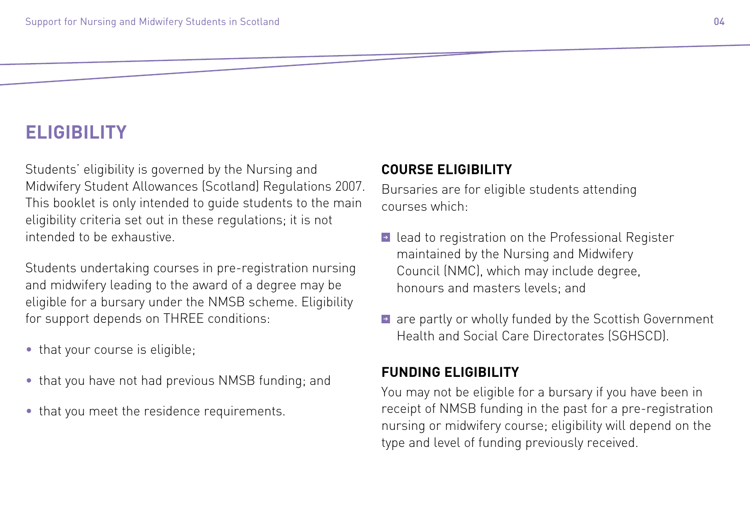### **ELIGIBILITY**

Students' eligibility is governed by the Nursing and Midwifery Student Allowances (Scotland) Regulations 2007. This booklet is only intended to guide students to the main eligibility criteria set out in these regulations; it is not intended to be exhaustive.

Students undertaking courses in pre-registration nursing and midwifery leading to the award of a degree may be eligible for a bursary under the NMSB scheme. Eligibility for support depends on THREE conditions:

- that your course is eligible;
- that you have not had previous NMSB funding; and
- that you meet the residence requirements.

#### **COURSE ELIGIBILITY**

Bursaries are for eligible students attending courses which:

- ➔ lead to registration on the Professional Register maintained by the Nursing and Midwifery Council (NMC), which may include degree, honours and masters levels; and
- ➔ are partly or wholly funded by the Scottish Government Health and Social Care Directorates (SGHSCD).

### **FUNDING ELIGIBILITY**

You may not be eligible for a bursary if you have been in receipt of NMSB funding in the past for a pre-registration nursing or midwifery course; eligibility will depend on the type and level of funding previously received.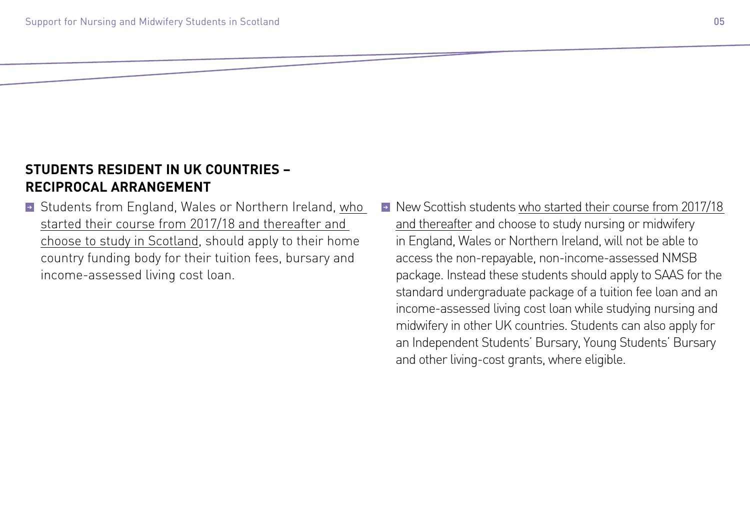### **STUDENTS RESIDENT IN UK COUNTRIES – RECIPROCAL ARRANGEMENT**

- ➔ Students from England, Wales or Northern Ireland, who started their course from 2017/18 and thereafter and choose to study in Scotland, should apply to their home country funding body for their tuition fees, bursary and income-assessed living cost loan.
- ➔ New Scottish students who started their course from 2017/18 and thereafter and choose to study nursing or midwifery in England, Wales or Northern Ireland, will not be able to access the non-repayable, non-income-assessed NMSB package. Instead these students should apply to SAAS for the standard undergraduate package of a tuition fee loan and an income-assessed living cost loan while studying nursing and midwifery in other UK countries. Students can also apply for an Independent Students' Bursary, Young Students' Bursary and other living-cost grants, where eligible.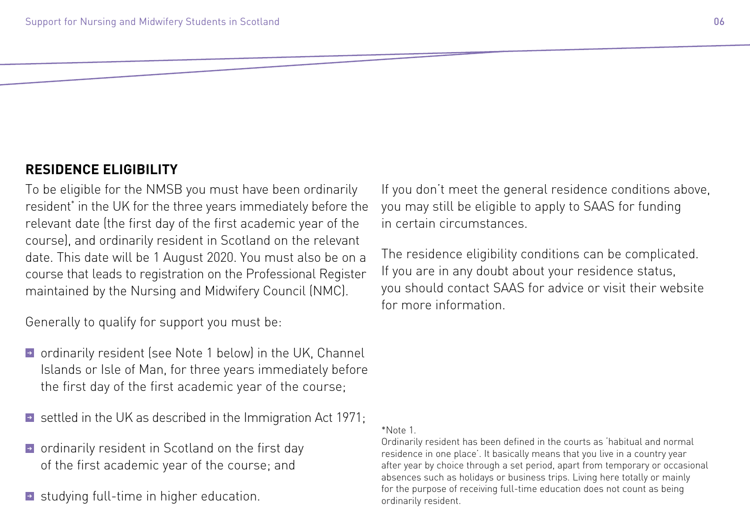#### **RESIDENCE ELIGIBILITY**

To be eligible for the NMSB you must have been ordinarily resident\* in the UK for the three years immediately before the relevant date (the first day of the first academic year of the course), and ordinarily resident in Scotland on the relevant date. This date will be 1 August 2020. You must also be on a course that leads to registration on the Professional Register maintained by the Nursing and Midwifery Council (NMC).

Generally to qualify for support you must be:

- ➔ ordinarily resident (see Note 1 below) in the UK, Channel Islands or Isle of Man, for three years immediately before the first day of the first academic year of the course;
- ➔ settled in the UK as described in the Immigration Act 1971;
- ➔ ordinarily resident in Scotland on the first day of the first academic year of the course; and
- ➔ studying full-time in higher education.

If you don't meet the general residence conditions above, you may still be eligible to apply to SAAS for funding in certain circumstances.

The residence eligibility conditions can be complicated. If you are in any doubt about your residence status, you should contact SAAS for advice or visit their website for more information.

#### \*Note 1.

Ordinarily resident has been defined in the courts as 'habitual and normal residence in one place'. It basically means that you live in a country year after year by choice through a set period, apart from temporary or occasional absences such as holidays or business trips. Living here totally or mainly for the purpose of receiving full-time education does not count as being ordinarily resident.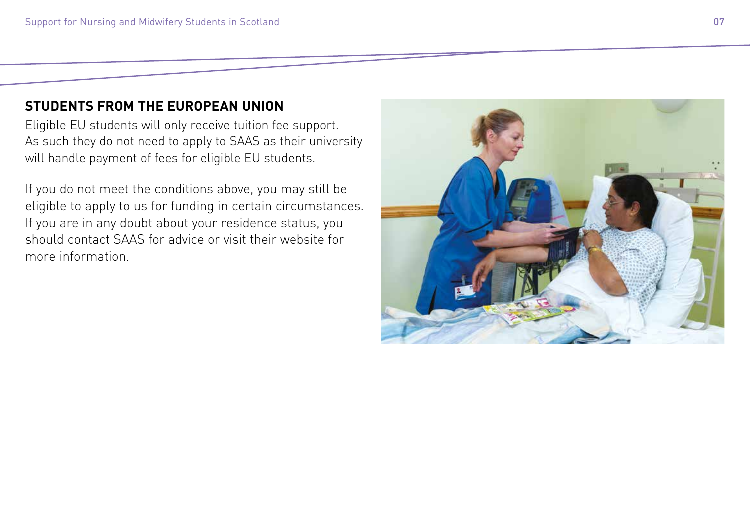#### **STUDENTS FROM THE EUROPEAN UNION**

Eligible EU students will only receive tuition fee support. As such they do not need to apply to SAAS as their university will handle payment of fees for eligible EU students.

If you do not meet the conditions above, you may still be eligible to apply to us for funding in certain circumstances. If you are in any doubt about your residence status, you should contact SAAS for advice or visit their website for more information.

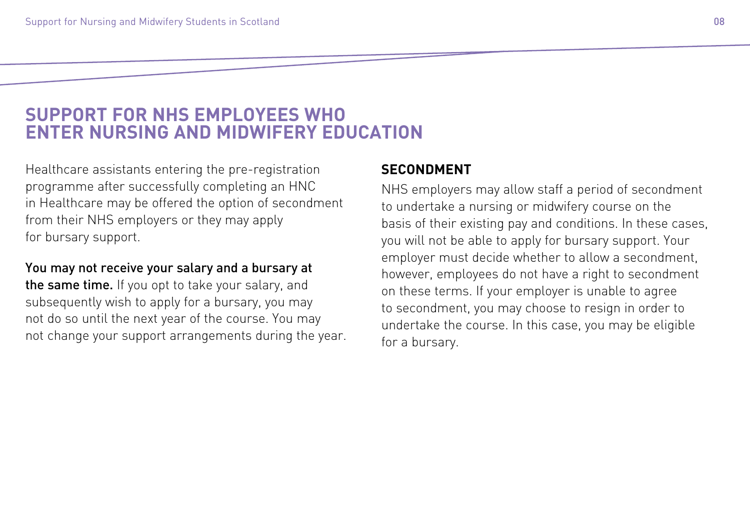### **SUPPORT FOR NHS EMPLOYEES WHO ENTER NURSING AND MIDWIFERY EDUCATION**

Healthcare assistants entering the pre-registration programme after successfully completing an HNC in Healthcare may be offered the option of secondment from their NHS employers or they may apply for bursary support.

#### You may not receive your salary and a bursary at

the same time. If you opt to take your salary, and subsequently wish to apply for a bursary, you may not do so until the next year of the course. You may not change your support arrangements during the year.

#### **SECONDMENT**

NHS employers may allow staff a period of secondment to undertake a nursing or midwifery course on the basis of their existing pay and conditions. In these cases, you will not be able to apply for bursary support. Your employer must decide whether to allow a secondment, however, employees do not have a right to secondment on these terms. If your employer is unable to agree to secondment, you may choose to resign in order to undertake the course. In this case, you may be eligible for a bursary.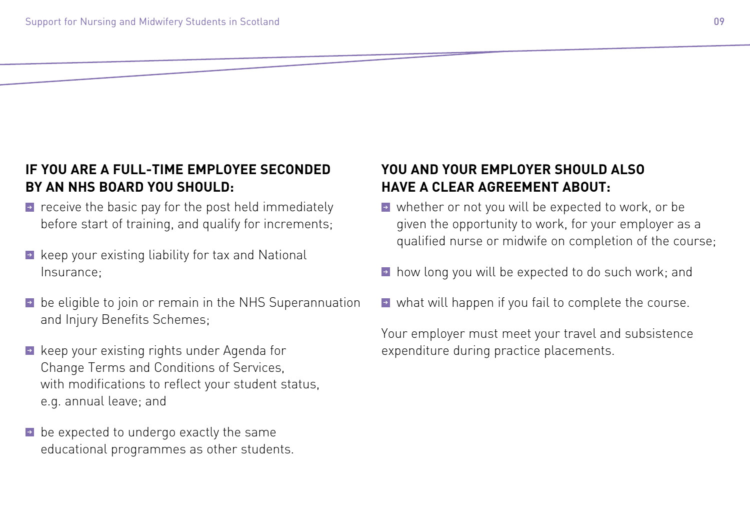### **IF YOU ARE A FULL-TIME EMPLOYEE SECONDED BY AN NHS BOARD YOU SHOULD:**

- ➔ receive the basic pay for the post held immediately before start of training, and qualify for increments;
- ➔ keep your existing liability for tax and National Insurance;
- ➔ be eligible to join or remain in the NHS Superannuation and Injury Benefits Schemes;
- ➔ keep your existing rights under Agenda for Change Terms and Conditions of Services, with modifications to reflect your student status, e.g. annual leave; and
- ➔ be expected to undergo exactly the same educational programmes as other students.

#### **YOU AND YOUR EMPLOYER SHOULD ALSO HAVE A CLEAR AGREEMENT ABOUT:**

- ➔ whether or not you will be expected to work, or be given the opportunity to work, for your employer as a qualified nurse or midwife on completion of the course;
- ➔ how long you will be expected to do such work; and
- ➔ what will happen if you fail to complete the course.

Your employer must meet your travel and subsistence expenditure during practice placements.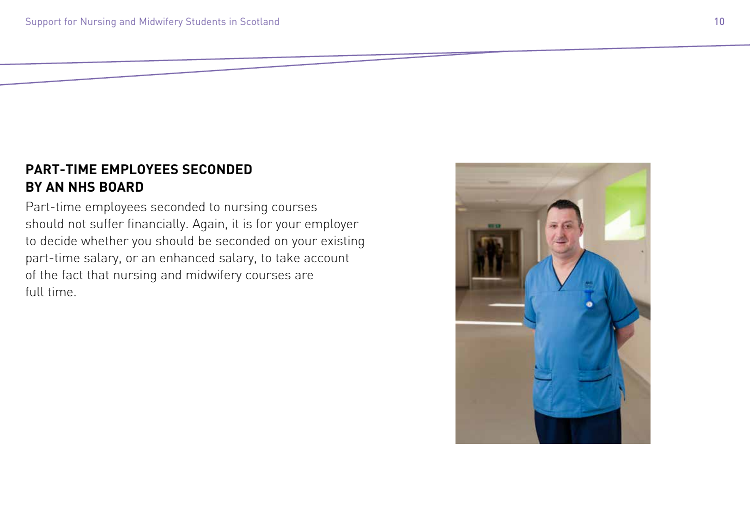#### **PART-TIME EMPLOYEES SECONDED BY AN NHS BOARD**

Part-time employees seconded to nursing courses should not suffer financially. Again, it is for your employer to decide whether you should be seconded on your existing part-time salary, or an enhanced salary, to take account of the fact that nursing and midwifery courses are full time.

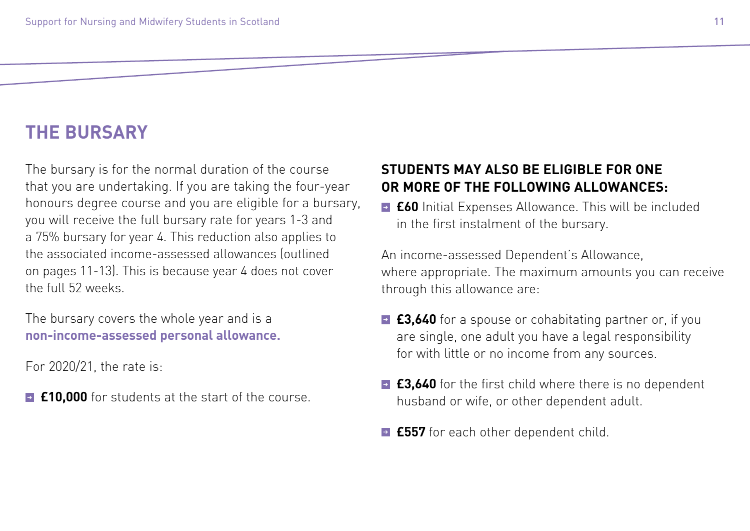### **THE BURSARY**

The bursary is for the normal duration of the course that you are undertaking. If you are taking the four-year honours degree course and you are eligible for a bursary, you will receive the full bursary rate for years 1-3 and a 75% bursary for year 4. This reduction also applies to the associated income-assessed allowances (outlined on pages 11-13). This is because year 4 does not cover the full 52 weeks.

The bursary covers the whole year and is a **non-income-assessed personal allowance.**

For 2020/21, the rate is:

**■ £10,000** for students at the start of the course.

#### **STUDENTS MAY ALSO BE ELIGIBLE FOR ONE OR MORE OF THE FOLLOWING ALLOWANCES:**

➔ **£60** Initial Expenses Allowance. This will be included in the first instalment of the bursary.

An income-assessed Dependent's Allowance, where appropriate. The maximum amounts you can receive through this allowance are:

- **£3,640** for a spouse or cohabitating partner or, if you are single, one adult you have a legal responsibility for with little or no income from any sources.
- ➔ **£3,640** for the first child where there is no dependent husband or wife, or other dependent adult.
- ➔ **£557** for each other dependent child.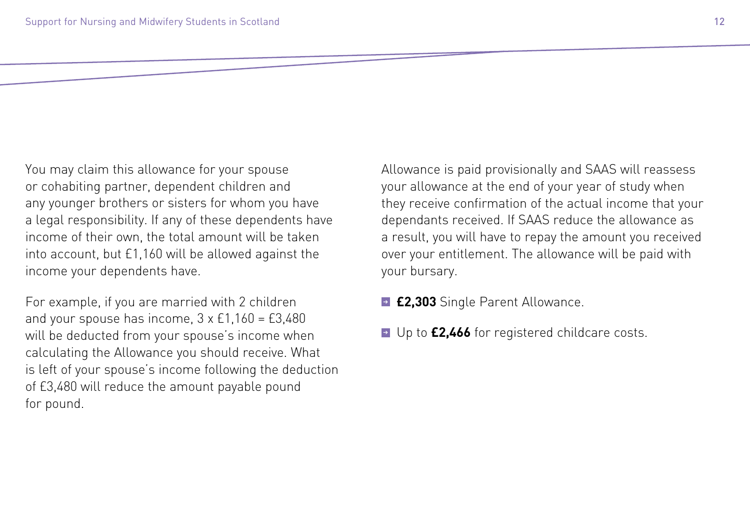You may claim this allowance for your spouse or cohabiting partner, dependent children and any younger brothers or sisters for whom you have a legal responsibility. If any of these dependents have income of their own, the total amount will be taken into account, but £1,160 will be allowed against the income your dependents have.

For example, if you are married with 2 children and your spouse has income,  $3 \times £1,160 = £3,480$ will be deducted from your spouse's income when calculating the Allowance you should receive. What is left of your spouse's income following the deduction of £3,480 will reduce the amount payable pound for pound.

Allowance is paid provisionally and SAAS will reassess your allowance at the end of your year of study when they receive confirmation of the actual income that your dependants received. If SAAS reduce the allowance as a result, you will have to repay the amount you received over your entitlement. The allowance will be paid with your bursary.

- ➔ **£2,303** Single Parent Allowance.
- ➔ Up to **£2,466** for registered childcare costs.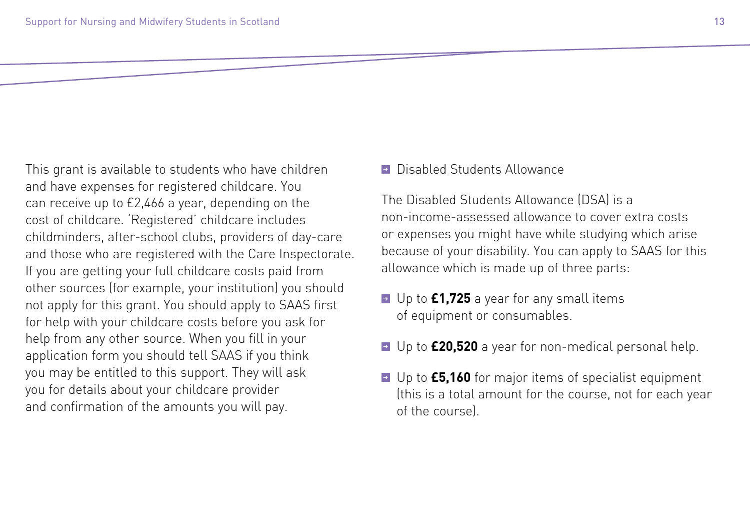This grant is available to students who have children and have expenses for registered childcare. You can receive up to £2,466 a year, depending on the cost of childcare. 'Registered' childcare includes childminders, after-school clubs, providers of day-care and those who are registered with the Care Inspectorate. If you are getting your full childcare costs paid from other sources (for example, your institution) you should not apply for this grant. You should apply to SAAS first for help with your childcare costs before you ask for help from any other source. When you fill in your application form you should tell SAAS if you think you may be entitled to this support. They will ask you for details about your childcare provider and confirmation of the amounts you will pay.

➔ Disabled Students Allowance

The Disabled Students Allowance (DSA) is a non-income-assessed allowance to cover extra costs or expenses you might have while studying which arise because of your disability. You can apply to SAAS for this allowance which is made up of three parts:

- ➔ Up to **£1,725** a year for any small items of equipment or consumables.
- ➔ Up to **£20,520** a year for non-medical personal help.
- ➔ Up to **£5,160** for major items of specialist equipment (this is a total amount for the course, not for each year of the course).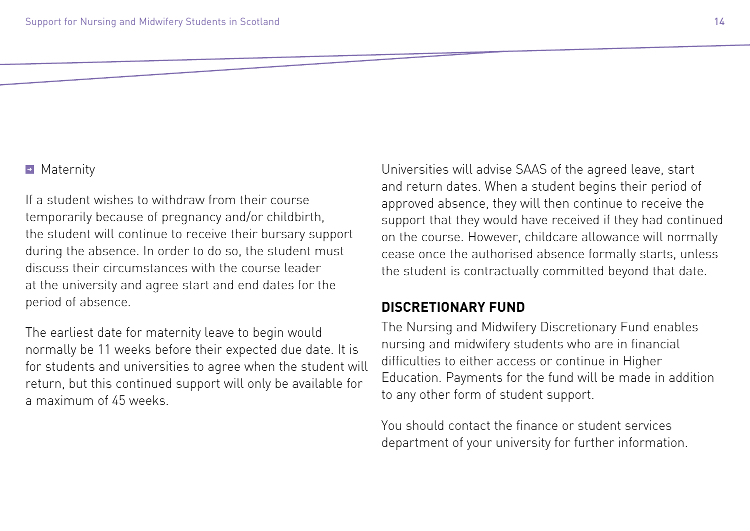#### ➔ Maternity

If a student wishes to withdraw from their course temporarily because of pregnancy and/or childbirth, the student will continue to receive their bursary support during the absence. In order to do so, the student must discuss their circumstances with the course leader at the university and agree start and end dates for the period of absence.

The earliest date for maternity leave to begin would normally be 11 weeks before their expected due date. It is for students and universities to agree when the student will return, but this continued support will only be available for a maximum of 45 weeks.

Universities will advise SAAS of the agreed leave, start and return dates. When a student begins their period of approved absence, they will then continue to receive the support that they would have received if they had continued on the course. However, childcare allowance will normally cease once the authorised absence formally starts, unless the student is contractually committed beyond that date.

#### **DISCRETIONARY FUND**

The Nursing and Midwifery Discretionary Fund enables nursing and midwifery students who are in financial difficulties to either access or continue in Higher Education. Payments for the fund will be made in addition to any other form of student support.

You should contact the finance or student services department of your university for further information.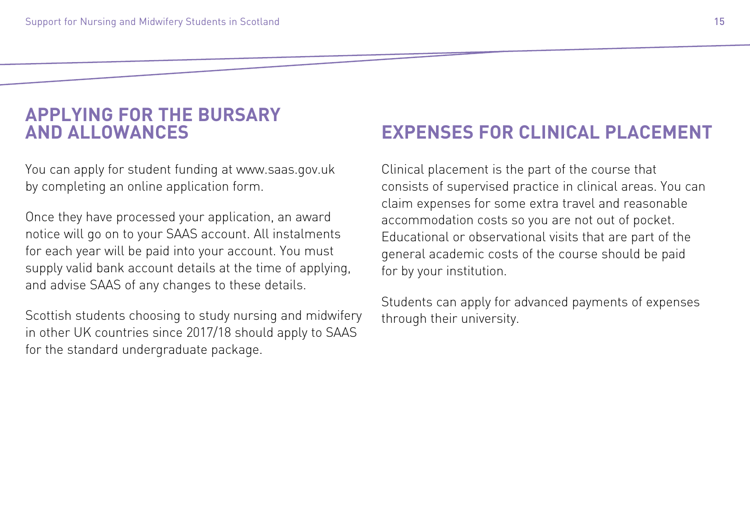### **APPLYING FOR THE BURSARY AND ALLOWANCES**

You can apply for student funding at [www.saas.gov.uk](http://www.saas.gov.uk) by completing an online application form.

Once they have processed your application, an award notice will go on to your SAAS account. All instalments for each year will be paid into your account. You must supply valid bank account details at the time of applying, and advise SAAS of any changes to these details.

Scottish students choosing to study nursing and midwifery in other UK countries since 2017/18 should apply to SAAS for the standard undergraduate package.

### **EXPENSES FOR CLINICAL PLACEMENT**

Clinical placement is the part of the course that consists of supervised practice in clinical areas. You can claim expenses for some extra travel and reasonable accommodation costs so you are not out of pocket. Educational or observational visits that are part of the general academic costs of the course should be paid for by your institution.

Students can apply for advanced payments of expenses through their university.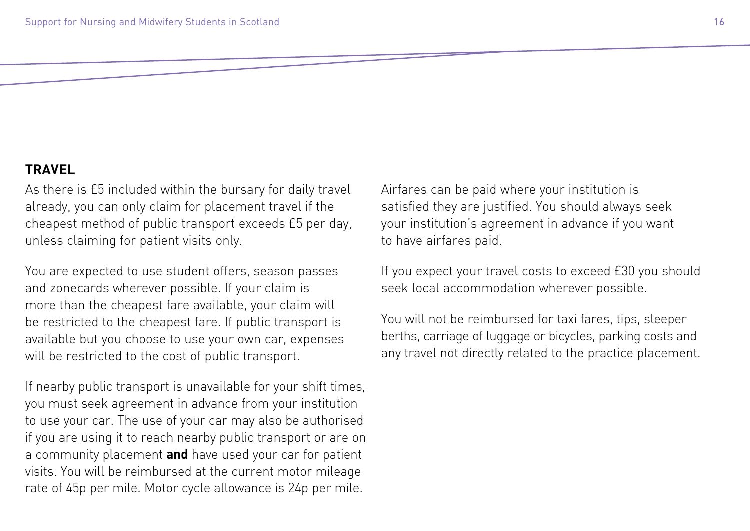#### **TRAVEL**

As there is £5 included within the bursary for daily travel already, you can only claim for placement travel if the cheapest method of public transport exceeds £5 per day, unless claiming for patient visits only.

You are expected to use student offers, season passes and zonecards wherever possible. If your claim is more than the cheapest fare available, your claim will be restricted to the cheapest fare. If public transport is available but you choose to use your own car, expenses will be restricted to the cost of public transport.

If nearby public transport is unavailable for your shift times, you must seek agreement in advance from your institution to use your car. The use of your car may also be authorised if you are using it to reach nearby public transport or are on a community placement **and** have used your car for patient visits. You will be reimbursed at the current motor mileage rate of 45p per mile. Motor cycle allowance is 24p per mile.

Airfares can be paid where your institution is satisfied they are justified. You should always seek your institution's agreement in advance if you want to have airfares paid.

If you expect your travel costs to exceed £30 you should seek local accommodation wherever possible.

You will not be reimbursed for taxi fares, tips, sleeper berths, carriage of luggage or bicycles, parking costs and any travel not directly related to the practice placement.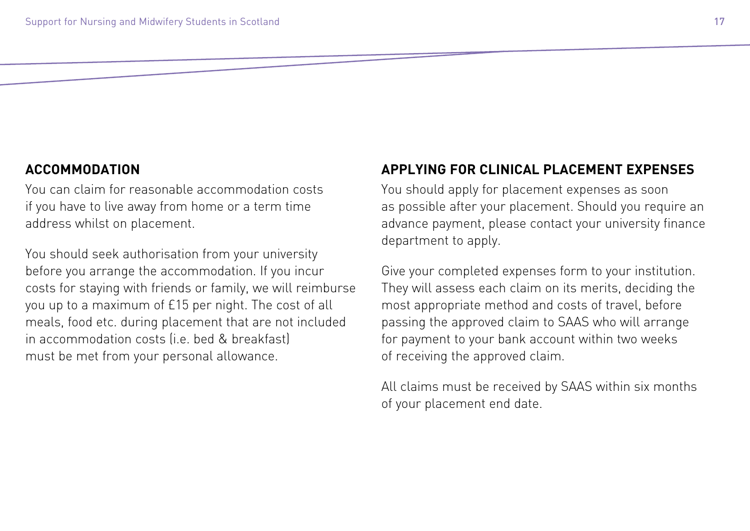#### **ACCOMMODATION**

You can claim for reasonable accommodation costs if you have to live away from home or a term time address whilst on placement.

You should seek authorisation from your university before you arrange the accommodation. If you incur costs for staying with friends or family, we will reimburse you up to a maximum of £15 per night. The cost of all meals, food etc. during placement that are not included in accommodation costs (i.e. bed & breakfast) must be met from your personal allowance.

#### **APPLYING FOR CLINICAL PLACEMENT EXPENSES**

You should apply for placement expenses as soon as possible after your placement. Should you require an advance payment, please contact your university finance department to apply.

Give your completed expenses form to your institution. They will assess each claim on its merits, deciding the most appropriate method and costs of travel, before passing the approved claim to SAAS who will arrange for payment to your bank account within two weeks of receiving the approved claim.

All claims must be received by SAAS within six months of your placement end date.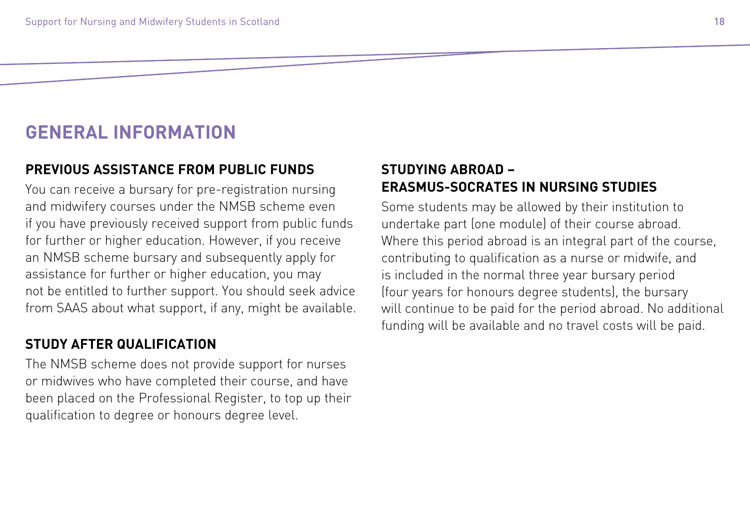### **GENERAL INFORMATION**

#### **PREVIOUS ASSISTANCE FROM PUBLIC FUNDS**

You can receive a bursary for pre-registration nursing and midwifery courses under the NMSB scheme even if you have previously received support from public funds for further or higher education. However, if you receive an NMSB scheme bursary and subsequently apply for assistance for further or higher education, you may not be entitled to further support. You should seek advice from SAAS about what support, if any, might be available.

#### **STUDY AFTER QUALIFICATION**

The NMSB scheme does not provide support for nurses or midwives who have completed their course, and have been placed on the Professional Register, to top up their qualification to degree or honours degree level.

#### **STUDYING ABROAD – ERASMUS-SOCRATES IN NURSING STUDIES**

Some students may be allowed by their institution to undertake part (one module) of their course abroad. Where this period abroad is an integral part of the course, contributing to qualification as a nurse or midwife, and is included in the normal three year bursary period (four years for honours degree students), the bursary will continue to be paid for the period abroad. No additional funding will be available and no travel costs will be paid.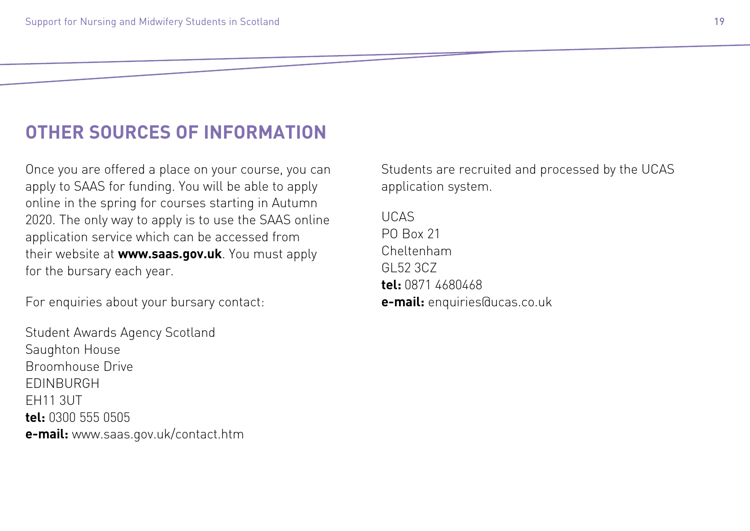### **OTHER SOURCES OF INFORMATION**

Once you are offered a place on your course, you can apply to SAAS for funding. You will be able to apply online in the spring for courses starting in Autumn 2020. The only way to apply is to use the SAAS online application service which can be accessed from their website at **[www.saas.gov.uk](http://www.saas.gov.uk)**. You must apply for the bursary each year.

For enquiries about your bursary contact:

Student Awards Agency Scotland Saughton House Broomhouse Drive EDINBURGH EH11 3UT **tel:** 0300 555 0505 **e-mail:** www.saas.gov.uk/contact.htm Students are recruited and processed by the UCAS application system.

UCAS PO Box 21 Cheltenham GL52 3CZ **tel:** 0871 4680468 **e-mail:** enquiries@ucas.co.uk